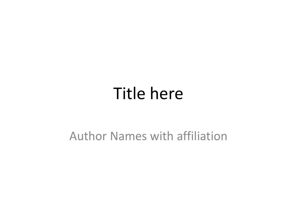#### Title here

#### Author Names with affiliation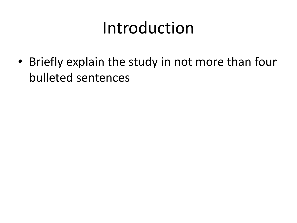# Introduction

• Briefly explain the study in not more than four bulleted sentences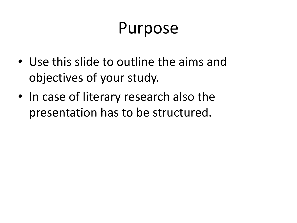## Purpose

- Use this slide to outline the aims and objectives of your study.
- In case of literary research also the presentation has to be structured.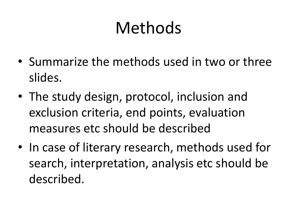# Methods

- Summarize the methods used in two or three slides.
- The study design, protocol, inclusion and exclusion criteria, end points, evaluation measures etc should be described
- In case of literary research, methods used for search, interpretation, analysis etc should be described.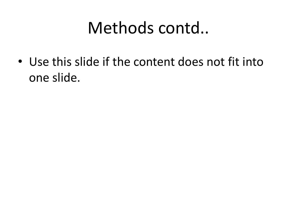## Methods contd..

• Use this slide if the content does not fit into one slide.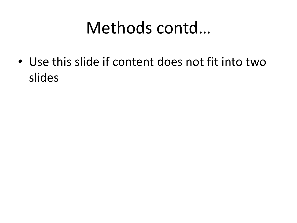## Methods contd…

• Use this slide if content does not fit into two slides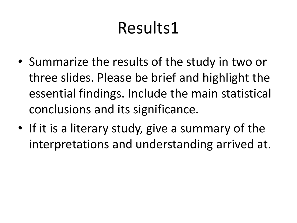# Results1

- Summarize the results of the study in two or three slides. Please be brief and highlight the essential findings. Include the main statistical conclusions and its significance.
- If it is a literary study, give a summary of the interpretations and understanding arrived at.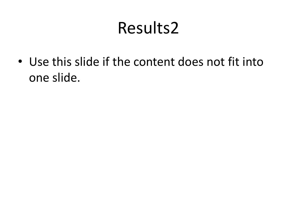## Results2

• Use this slide if the content does not fit into one slide.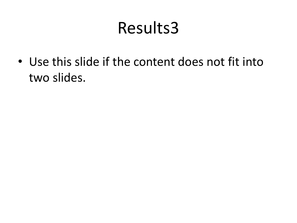## Results3

• Use this slide if the content does not fit into two slides.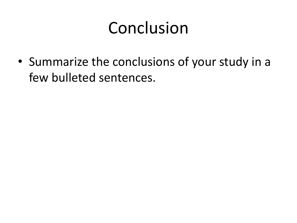# Conclusion

• Summarize the conclusions of your study in a few bulleted sentences.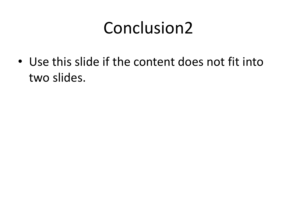## Conclusion2

• Use this slide if the content does not fit into two slides.